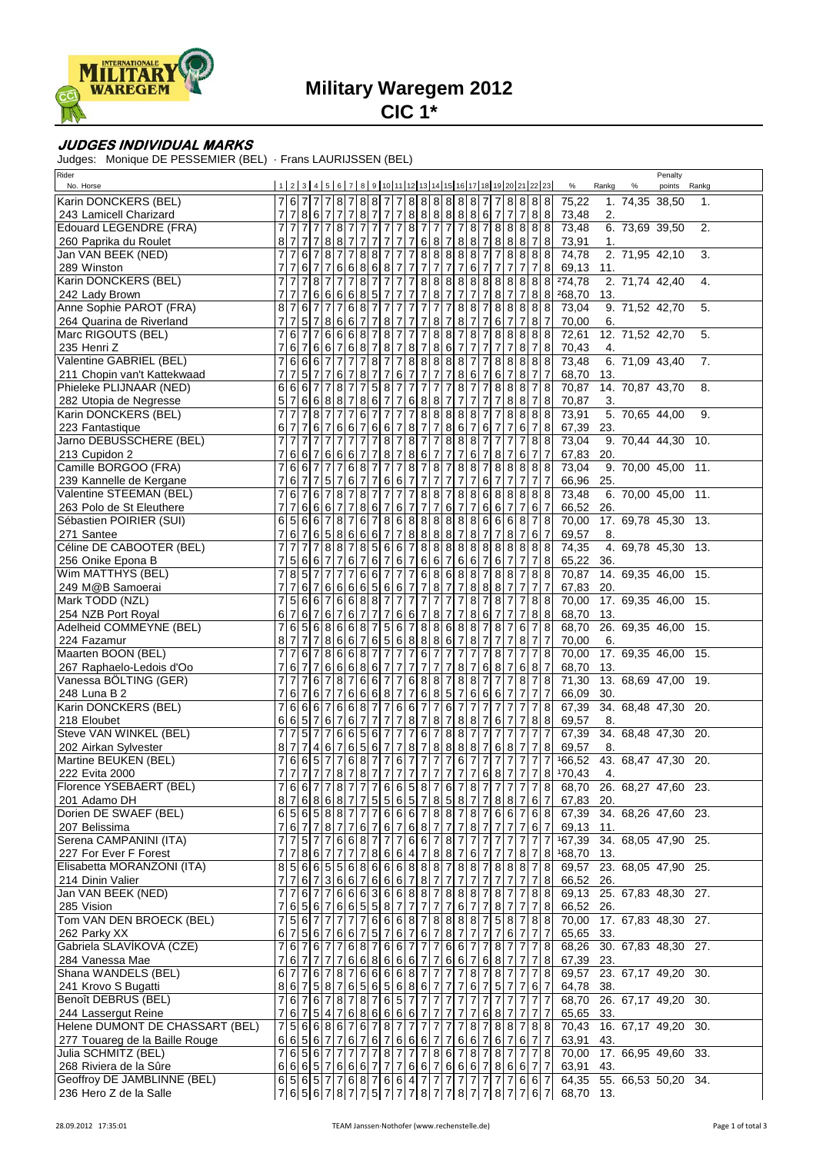

**Military Waregem 2012**

**CIC 1\***

## **JUDGES INDIVIDUAL MARKS**

Judges: Monique DE PESSEMIER (BEL) · Frans LAURIJSSEN (BEL)

| Rider<br>No. Horse                                  |                |                 |                                |                |                                  |                            |                  |                |                 |                       |                                    |                                  |                                   |                                                      |                       |                  |                                  | 1 2 3 4 5 6 7 8 9 10 11 12 13 14 15 16 17 18 19 20 21 22 23            |                  |                                | $\%$                                                                                                                            | Rankg     | %                           | Penalty<br>points Rankg |     |
|-----------------------------------------------------|----------------|-----------------|--------------------------------|----------------|----------------------------------|----------------------------|------------------|----------------|-----------------|-----------------------|------------------------------------|----------------------------------|-----------------------------------|------------------------------------------------------|-----------------------|------------------|----------------------------------|------------------------------------------------------------------------|------------------|--------------------------------|---------------------------------------------------------------------------------------------------------------------------------|-----------|-----------------------------|-------------------------|-----|
| Karin DONCKERS (BEL)                                |                |                 | 6 7 7                          |                |                                  |                            |                  |                |                 |                       |                                    |                                  |                                   | $87887788888887$                                     |                       |                  | 7                                | 8 8 8 8                                                                |                  |                                | 75,22                                                                                                                           |           | 1. 74,35 38,50              |                         | 1.  |
| 243 Lamicell Charizard                              | 7              | $\overline{7}$  |                                |                | 8677                             | $\overline{7}$             |                  |                |                 |                       |                                    |                                  |                                   |                                                      |                       |                  |                                  |                                                                        |                  |                                | 73,48                                                                                                                           | <u>2.</u> |                             |                         |     |
| Edouard LEGENDRE (FRA)                              |                |                 | <b>77</b>                      |                |                                  | 8                          |                  |                |                 |                       |                                    |                                  |                                   |                                                      |                       |                  |                                  | 8 7 7 7 8 8 8 8 8 8 6 7 7 7 8 8<br>7 7 7 7 8 7 7 7 7 8 7 8 9 8 8 8 8 8 |                  |                                | 73,48                                                                                                                           |           | 6.73,69.39,50               |                         | 2.  |
| 260 Paprika du Roulet                               | 8              | $\overline{7}$  | 717                            |                | 8 8 7                            |                            | $\boldsymbol{7}$ |                | 7 <sub>7</sub>  |                       |                                    |                                  |                                   |                                                      |                       |                  |                                  | 776878878887                                                           |                  |                                | 73,91                                                                                                                           |           | $\frac{1}{2}$ . 71,95 42,10 |                         |     |
| Jan VAN BEEK (NED)                                  |                |                 | $6 \overline{\smash{\big)}\,}$ |                | 8                                | 7                          |                  | $887$          |                 | $\overline{7}$        | $\overline{7}$                     |                                  |                                   | 888887                                               |                       |                  |                                  | 7 8 8 8 8                                                              |                  |                                | 74,78                                                                                                                           |           |                             |                         | 3.  |
| 289 Winston                                         |                |                 | $6\overline{7}$                |                | 7                                | 668                        |                  |                |                 | 687                   | 7                                  | 7                                | $\overline{7}$                    | $\overline{7}$<br>$\overline{7}$                     | $6 \overline{6}$      | 7                | 7                                | 7<br>$\overline{7}$                                                    | 7                | 8                              | 69,13                                                                                                                           | 11.       |                             |                         |     |
| Karin DONCKERS (BEL)                                |                |                 |                                | ø              |                                  |                            | $\overline{8}$   |                | 77              | $\overline{7}$        | $\overline{7}$                     | $\overline{8}$                   | $8\overline{8}$                   | 8                                                    |                       | $\frac{8}{8}$    | $\infty$                         | $\infty$<br>$\bf8$                                                     |                  | 8 8                            | 274,78                                                                                                                          |           | 2. 71,74 42,40              |                         | 4.  |
| 242 Lady Brown                                      |                |                 | $\overline{7}$                 | 6 6            |                                  | 668                        |                  |                | 5 <sub>7</sub>  | $\overline{7}$        | 7 <sub>7</sub>                     |                                  | 8                                 | 7 <sub>7</sub>                                       | $\overline{7}$        | $\overline{7}$   | 8                                | $\overline{7}$<br>$\overline{7}$                                       |                  | 8 8                            | 268,70                                                                                                                          | 13.       | 9.71,5242,70                |                         |     |
| Anne Sophie PAROT (FRA)                             | 8              |                 | $6\overline{7}$                |                |                                  |                            | 68               |                | 77              | $\overline{7}$        | 7                                  | $\overline{7}$                   | $\overline{7}$                    | $\overline{7}$                                       | 887                   |                  |                                  | 8 8 8 8 8                                                              |                  |                                | 73,04                                                                                                                           |           |                             |                         | 5.  |
| 264 Quarina de Riverland<br>Marc RIGOUTS (BEL)      |                |                 | 5 7<br>677                     |                | 8667<br>66                       |                            | 68               |                |                 | 787                   | $\overline{7}$                     | 7 <sub>7</sub><br>$\overline{7}$ |                                   | 8 7 8 7 7 6 7                                        |                       |                  |                                  | $\overline{7}$<br>88787888                                             |                  | 87<br>8 8                      | 70,00<br>72,61                                                                                                                  | 6.        | 12. 71,52 42,70             |                         | 5.  |
| 235 Henri Z                                         | 7              |                 |                                |                |                                  |                            |                  |                |                 |                       |                                    |                                  |                                   | $67667687878787867777777$                            |                       |                  |                                  |                                                                        |                  | 878                            | 70,43                                                                                                                           | 4.        |                             |                         |     |
| Valentine GABRIEL (BEL)                             |                |                 | 6667                           |                | $\overline{7}$                   | $\overline{7}$             |                  |                | $8\overline{7}$ | $\overline{7}$        |                                    |                                  |                                   | 88888                                                | $\overline{7}$        | $\overline{7}$   | $\infty$                         | 8888                                                                   |                  |                                | 73,48                                                                                                                           |           | 6. 71,09 43,40              |                         | 7.  |
| 211 Chopin van't Kattekwaad                         |                |                 | 5 <sub>5</sub>                 | $\overline{7}$ | 7 6 7                            |                            | $\bf 8$          |                | 7 <sub>7</sub>  | 6                     | 7 <sub>7</sub>                     |                                  | $\overline{7}$                    | 786767                                               |                       |                  |                                  |                                                                        | $8 \mid 7$       | 7                              | 68,70                                                                                                                           | 13.       |                             |                         |     |
| Phieleke PLIJNAAR (NED)                             |                |                 |                                |                | 66677877                         |                            |                  |                |                 | 5877                  |                                    | $\overline{7}$                   | 77                                |                                                      |                       |                  |                                  | 87788878                                                               |                  |                                | 70,87                                                                                                                           |           | 14. 70,87 43,70             |                         | 8.  |
| 282 Utopia de Negresse                              |                | 5 7             |                                |                | 66887                            |                            |                  |                |                 |                       |                                    |                                  |                                   | 86776887777                                          |                       |                  |                                  | 788                                                                    |                  | 78                             | 70,87                                                                                                                           | 3.        |                             |                         |     |
| Karin DONCKERS (BEL)                                |                |                 | 78                             |                |                                  | $\overline{7}$             | $\overline{6}$   |                | 77              | $\overline{7}$        | 7                                  |                                  |                                   | 888887                                               |                       |                  | $\overline{7}$                   | 8888                                                                   |                  |                                | 73,91                                                                                                                           |           | 5. 70,65 44,00              |                         | 9.  |
| 223 Fantastique                                     |                | $6\overline{7}$ |                                | 6 7            | $\,$ 6 $\,$                      | 6                          | $\boldsymbol{7}$ |                |                 | 667                   | 8 <sub>7</sub>                     |                                  | $\overline{7}$                    | 8 6                                                  |                       | 7 6              | $\overline{7}$                   | $6 \overline{6}$<br>7                                                  |                  | 78                             | 67,39                                                                                                                           | 23.       |                             |                         |     |
| Jarno DEBUSSCHERE (BEL)                             |                |                 |                                |                |                                  |                            | $\overline{7}$   |                |                 | 787                   | 87                                 |                                  | $\overline{7}$                    | $\infty$                                             | $887$                 |                  | $\overline{7}$                   | $\overline{7}$<br>$\overline{7}$                                       |                  | 88                             | 73,04                                                                                                                           |           | 9. 70,44 44,30              |                         | 10. |
| 213 Cupidon 2                                       | $\overline{7}$ |                 | $667$                          |                | 6667                             |                            |                  |                |                 | 78786                 |                                    |                                  | $\overline{7}$                    | 7 <sub>7</sub>                                       |                       |                  | $6 \, 7 \, 8 \, 7$               |                                                                        |                  | 6 7 7                          | 67,83                                                                                                                           | 20.       |                             |                         |     |
| Camille BORGOO (FRA)                                |                |                 | $6 6 7$                        |                | $\overline{7}$<br>$\overline{7}$ |                            | 68<br>67         |                | $7\overline{7}$ | $\overline{7}$        | $8 \overline{7}$<br>7 <sub>7</sub> |                                  | 87                                |                                                      | 887                   |                  |                                  | 8 8 8 8 8<br>$\overline{7}$                                            |                  |                                | 73,04                                                                                                                           |           | 9. 70,00 45,00 11.          |                         |     |
| 239 Kannelle de Kergane<br>Valentine STEEMAN (BEL)  |                |                 | 6 7                            | $\overline{7}$ | 5 <sup>1</sup><br>6 7 6 7 8      | $\overline{7}$             | 78               |                | $\overline{7}$  | 766<br>$\overline{7}$ |                                    | 78                               | $\overline{7}$<br>$8\overline{7}$ | $\overline{7}$<br>$\overline{7}$<br>$\infty$         | $\overline{7}$<br>8 6 | $6\phantom{.}6$  | $\overline{7}$                   | $\overline{7}$                                                         | $\overline{7}$   | 7<br>$\frac{8}{8}$             | 66,96<br>73,48                                                                                                                  | 25.       | 6. 70,00 45,00 11.          |                         |     |
| 263 Polo de St Eleuthere                            | 7              | $\overline{7}$  |                                |                | 6667                             | $\overline{7}$             | $\bf 8$          |                | 67              | 6                     |                                    | 77                               | $\overline{7}$                    | $\overline{7}$<br>$6\phantom{.}6$                    | $\overline{7}$        | $6\overline{6}$  |                                  | $\begin{array}{c c} 8 & 8 & 8 \\ 6 & 7 & 7 \end{array}$                |                  | $6 \overline{\smash{\big)}\,}$ | 66,52                                                                                                                           | 26.       |                             |                         |     |
| Sébastien POIRIER (SUI)                             |                |                 |                                |                | 566787                           |                            | $\overline{6}$   |                |                 |                       |                                    |                                  |                                   |                                                      |                       |                  |                                  | $786888888666678$                                                      |                  |                                | 70,00                                                                                                                           |           | 17. 69,78 45,30 13.         |                         |     |
| 271 Santee                                          |                |                 |                                |                |                                  |                            |                  | 6 76586667     |                 | 7                     |                                    |                                  |                                   | 88887                                                | 8 7                   |                  | $\overline{7}$                   | $8 \mid 7$                                                             |                  | $6 \overline{\smash{\big)}\,}$ | 69,57                                                                                                                           | 8.        |                             |                         |     |
| Céline DE CABOOTER (BEL)                            |                |                 |                                | $\overline{7}$ | 88                               | $\overline{7}$             | $\infty$         |                |                 | 566                   |                                    |                                  |                                   |                                                      |                       |                  |                                  | 78888888888                                                            |                  |                                | 74,35                                                                                                                           |           | 4. 69,78 45,30 13.          |                         |     |
| 256 Onike Epona B                                   | 7              |                 |                                |                | 5 6 6 7 7                        |                            | 67               |                |                 | 67676                 |                                    |                                  |                                   |                                                      |                       |                  |                                  | 6 766 7677778                                                          |                  |                                | 65,22 36.                                                                                                                       |           |                             |                         |     |
| Wim MATTHYS (BEL)                                   |                |                 | 8 5                            | $\overline{7}$ |                                  |                            | $\overline{6}$   |                | $6\overline{7}$ | $\overline{7}$        | 7                                  | $6\overline{6}$                  |                                   | 8 6 8 8 7                                            |                       |                  | $\frac{8}{8}$                    | $\overline{7}$                                                         |                  | 88                             | 70,87                                                                                                                           |           | 14. 69,35 46,00 15.         |                         |     |
| 249 M@B Samoerai                                    |                | $\overline{7}$  | $6\overline{7}$                |                |                                  |                            |                  | 6666566        |                 |                       | $\overline{7}$                     | $\overline{7}$                   | 8 <sup>7</sup>                    | $\overline{7}$                                       |                       |                  | 8887                             | $\overline{7}$                                                         | $\boldsymbol{7}$ | $\overline{7}$                 | 67,83                                                                                                                           | 20.       |                             |                         |     |
| Mark TODD (NZL)                                     |                |                 |                                |                |                                  |                            |                  | 5667668877     |                 |                       | $\overline{7}$                     | $\boldsymbol{7}$                 | $7\overline{7}$                   | $\overline{7}$                                       |                       |                  | 8787                             | $\overline{7}$                                                         |                  | $\frac{8}{8}$                  | 70,00                                                                                                                           |           | 17. 69,35 46,00 15.         |                         |     |
| 254 NZB Port Royal<br>Adelheid COMMEYNE (BEL)       | 6              | $\overline{7}$  | 6 7                            |                | 67<br>65686                      |                            | 67<br>68         |                | 7 <sub>7</sub>  | 756                   | 667                                |                                  |                                   | 8778677<br>788688787                                 |                       |                  |                                  | $\overline{7}$<br>6                                                    |                  | 8 8<br>78                      | 68,70 13.<br>68,70                                                                                                              |           | 26. 69,35 46,00 15.         |                         |     |
| 224 Fazamur                                         |                | 8 7             | 7                              | $\overline{7}$ | 8 6 6 7                          |                            |                  |                |                 |                       |                                    |                                  |                                   | 65688867                                             | 8 7                   |                  | $\overline{7}$                   | $\overline{7}$<br>$\bf 8$                                              |                  | 77                             | 70,00                                                                                                                           | 6.        |                             |                         |     |
| Maarten BOON (BEL)                                  |                |                 | 6                              | 17             | 8668                             |                            |                  |                | 77              | $\overline{7}$        | 7                                  | 6                                | $\overline{7}$                    | $\overline{7}$<br>$\overline{7}$                     | $\overline{7}$        | 7                | $\infty$                         | $\overline{7}$<br>7                                                    | $\overline{7}$   | 8                              | 70,00                                                                                                                           |           | 17. 69,35 46,00 15.         |                         |     |
| 267 Raphaelo-Ledois d'Oo                            | 7              |                 | $677$                          |                | 6                                | 668                        |                  |                | 6 7             | $\overline{7}$        | $\overline{7}$                     | $\overline{7}$                   | $\overline{7}$                    | $\overline{7}$<br>$\boldsymbol{8}$                   |                       | 76               | $8 \mid 7$                       |                                                                        |                  | 6 8 7                          | 68,70                                                                                                                           | 13.       |                             |                         |     |
| Vanessa BÖLTING (GER)                               |                |                 | 7767                           |                |                                  | $\infty$<br>$\overline{7}$ |                  | $667$          |                 | $\overline{7}$        |                                    | 68                               | 8                                 | $\overline{7}$                                       | 887                   |                  | $\overline{7}$                   | $\overline{7}$<br>8                                                    |                  | 78                             | 71,30                                                                                                                           |           | 13. 68,69 47,00 19.         |                         |     |
| 248 Luna B 2                                        |                |                 | 6 7 6 7                        |                | $\overline{7}$                   |                            |                  | 66687          |                 |                       | $\overline{7}$                     |                                  |                                   | 6 8 5 7 6 6 6 7                                      |                       |                  |                                  | $\overline{7}$                                                         | 7                | $\overline{7}$                 | 66,09                                                                                                                           | 30.       |                             |                         |     |
| Karin DONCKERS (BEL)                                |                |                 | 6 6 6 7                        |                | 6                                |                            |                  | 6877           |                 |                       | $667$                              |                                  | $\overline{7}$                    | 67                                                   |                       | $\overline{7}$ 7 | $\overline{7}$                   | $\overline{7}$<br>$\overline{7}$                                       |                  | 78                             | 67,39                                                                                                                           |           | 34. 68,48 47,30 20.         |                         |     |
| 218 Eloubet                                         |                |                 | 6 6 5 7                        |                | 6 7                              |                            | $6\overline{7}$  |                | 7 <sub>7</sub>  | $\overline{7}$        | 87                                 |                                  | $8 \mid 7$                        |                                                      | $887$                 |                  | $6 \,$                           | $\overline{7}$<br>$\overline{7}$                                       |                  | 8 8                            | 69,57                                                                                                                           | 8.        |                             |                         |     |
| Steve VAN WINKEL (BEL)<br>202 Airkan Sylvester      |                | $8\vert 7$      | $5\overline{7}$                |                | $6\overline{6}$<br>$7467$        |                            |                  | 6567           |                 | $\overline{7}$        |                                    | 76                               |                                   | 788                                                  |                       | 77               | $\overline{7}$                   | $\overline{7}$<br>$\overline{7}$<br>$6567787888887687$                 |                  | 77<br>78                       | 67,39<br>69,57                                                                                                                  | 8.        | 34. 68,48 47,30 20.         |                         |     |
| Martine BEUKEN (BEL)                                |                |                 |                                |                | 6 6 5 7 7                        |                            |                  | 6877677        |                 |                       |                                    |                                  |                                   |                                                      |                       |                  |                                  | $776777777777$                                                         |                  |                                | 166,52                                                                                                                          |           | 43. 68,47 47,30 20.         |                         |     |
| 222 Evita 2000                                      |                |                 |                                |                |                                  |                            |                  |                |                 |                       |                                    |                                  |                                   |                                                      |                       |                  |                                  |                                                                        |                  |                                |                                                                                                                                 |           |                             |                         |     |
| Florence YSEBAERT (BEL)                             |                |                 |                                |                |                                  |                            |                  |                |                 |                       |                                    |                                  |                                   |                                                      |                       |                  |                                  |                                                                        |                  |                                | 7 7 7 7 8 7 8 7 8 7 7 7 7 7 7 7 6 8 7 7 8  170,43 4.<br> 7 6 6 7 7 8 7 7 7 6 6 5 8 7 6 7 8 7 7 7 7 8  68,70 26. 68,27 47,60 23. |           |                             |                         |     |
| 201 Adamo DH                                        |                | $8\overline{7}$ |                                |                | 686877                           |                            |                  |                |                 |                       |                                    |                                  |                                   |                                                      |                       |                  |                                  | $55657858778767$                                                       |                  |                                | 67,83 20.                                                                                                                       |           |                             |                         |     |
| Dorien DE SWAEF (BEL)                               |                |                 |                                |                | 6 5 6 5 8 8 7 7                  |                            |                  |                |                 |                       |                                    |                                  |                                   |                                                      |                       |                  |                                  |                                                                        |                  |                                | 766678878766768768                                                                                                              |           |                             |                         |     |
| 207 Belissima                                       |                |                 |                                |                | 7 6 7 7 8 7 7                    |                            | $\,$ 6 $\,$      |                |                 |                       |                                    |                                  |                                   |                                                      |                       |                  |                                  | 7676877787777767                                                       |                  |                                | 69,13 11.                                                                                                                       |           |                             |                         |     |
| Serena CAMPANINI (ITA)                              |                |                 | $5\overline{7}$                |                |                                  |                            |                  | 766877         |                 | $\overline{7}$        | 66                                 |                                  |                                   |                                                      |                       | 77               | 77                               | $\overline{7}$                                                         |                  | 77                             | 167,39                                                                                                                          |           | 34. 68,05 47,90 25.         |                         |     |
| 227 For Ever F Forest<br>Elisabetta MORANZONI (ITA) |                |                 |                                |                | 8677<br>5665568                  |                            | 7                |                |                 | 8 6 6 4 7             |                                    |                                  |                                   | 88767<br>6668887887                                  |                       |                  | $\overline{7}$                   | 8 <sup>8</sup><br>7<br>8 8 8 7 8                                       |                  | 78                             | 168,70 13.<br>69,57                                                                                                             |           | 23. 68,05 47,90             |                         | 25. |
| 214 Dinin Valier                                    | 7              | $\overline{7}$  |                                |                | 673667                           |                            |                  |                |                 |                       |                                    |                                  |                                   | 66678777777                                          |                       |                  |                                  | 77778                                                                  |                  |                                | 66,52 26.                                                                                                                       |           |                             |                         |     |
| Jan VAN BEEK (NED)                                  |                |                 |                                |                | 76                               |                            | 66               |                | 36              | $\overline{6}$        | 88                                 |                                  | $\overline{7}$                    | $\overline{8}$<br>8                                  | 8                     |                  | 8                                | $\overline{7}$                                                         |                  | 8 8                            | 69,13                                                                                                                           |           | 25. 67,83 48,30 27.         |                         |     |
| 285 Vision                                          | 7              |                 |                                |                |                                  |                            |                  | 65676766558777 |                 |                       |                                    |                                  | $\overline{7}$                    | $\overline{7}$<br>6                                  | 7                     | 7                |                                  | $8 \, 7 \, 7$                                                          |                  | 78                             | 66,52 26.                                                                                                                       |           |                             |                         |     |
| Tom VAN DEN BROECK (BEL)                            |                |                 |                                |                | 5 6 7 7 7 7 7                    |                            |                  |                |                 | 6 6 8 7               |                                    |                                  |                                   | 8 8 8 8 7                                            |                       |                  |                                  | 5 8 7 8 8                                                              |                  |                                | 70,00 17. 67,83 48,30 27.                                                                                                       |           |                             |                         |     |
| 262 Parky XX                                        |                |                 |                                |                | 6 7 5 6 7 6 6 7                  |                            |                  |                |                 |                       |                                    |                                  |                                   | 5 7 6 7 6 7 8 7 7                                    |                       | 7                | $\overline{7}$                   | 6 7                                                                    | $\overline{7}$   | 7                              | 65,65 33.                                                                                                                       |           |                             |                         |     |
| Gabriela SLAVÍKOVÁ (CZE)                            |                |                 |                                |                | 6 7 6 7 7                        |                            | 6 8              |                |                 | 766                   |                                    | $7\overline{7}$                  |                                   | 766                                                  |                       | $\frac{1}{7}$    | $\boldsymbol{8}$                 | $\overline{7}$<br>$\overline{7}$                                       | $\overline{7}$   | 8                              | 68,26                                                                                                                           |           | 30. 67,83 48,30 27.         |                         |     |
| 284 Vanessa Mae                                     | 7              |                 |                                |                | 67777                            |                            |                  | $66866677$     |                 |                       |                                    |                                  | 77                                | 667687                                               |                       |                  |                                  | 7                                                                      |                  | 78                             | 67,39                                                                                                                           | 23.       | 23. 67,17 49,20             |                         |     |
| Shana WANDELS (BEL)                                 | 6              |                 |                                |                |                                  |                            |                  | 76787666687    |                 |                       |                                    |                                  |                                   | $\overline{7}$                                       | 87                    |                  | $\frac{8}{7}$                    | $\overline{7}$                                                         | $\overline{7}$   | 8                              | 69,57                                                                                                                           |           |                             |                         | 30. |
| 241 Krovo S Bugatti<br>Benoît DEBRUS (BEL)          |                |                 |                                |                | 6 7 6 7 8 7                      |                            | $\infty$         |                | $\overline{76}$ | $5\overline{)}$       | 7                                  | $\overline{7}$                   | $\overline{7}$                    | 8675876565686777<br>$\overline{7}$<br>$\overline{7}$ | 7                     | 6 7              | 5 <sub>l</sub><br>$\overline{7}$ | 7<br>7<br>7                                                            | $\overline{7}$   | 6 7                            | 64,78 38.<br>68,70                                                                                                              |           | 26. 67,17 49,20 30.         |                         |     |
| 244 Lassergut Reine                                 | 7              |                 |                                |                |                                  |                            |                  |                |                 |                       |                                    |                                  |                                   | $675476866667777$                                    |                       |                  |                                  | 7 6 8 7 7                                                              | $\overline{7}$   | 7                              | 65,65                                                                                                                           | 33.       |                             |                         |     |
| Helene DUMONT DE CHASSART (BEL)                     |                |                 |                                |                |                                  |                            |                  | 5668676787     |                 |                       | $\overline{7}$                     | 17                               | $\overline{7}$                    | $\overline{7}$<br>$\overline{7}$                     |                       | 87               |                                  | 8 8 7 8 8                                                              |                  |                                | 70,43 16. 67,17 49,20 30.                                                                                                       |           |                             |                         |     |
| 277 Touareg de la Baille Rouge                      |                |                 |                                |                | 6 6 5 6 7 7 6 7                  |                            |                  |                |                 |                       |                                    |                                  |                                   |                                                      |                       |                  |                                  |                                                                        |                  |                                | 63,91                                                                                                                           | 43.       |                             |                         |     |
| Julia SCHMITZ (BEL)                                 |                |                 |                                |                | 6567777                          |                            |                  |                |                 |                       |                                    |                                  |                                   |                                                      |                       |                  |                                  |                                                                        |                  |                                | 70,00                                                                                                                           |           | 17. 66,95 49,60 33.         |                         |     |
| 268 Riviera de la Sûre                              |                |                 |                                |                |                                  |                            |                  |                |                 |                       |                                    |                                  |                                   |                                                      |                       |                  |                                  | 6665766677766776676676678667<br>656577687664777777777667               |                  |                                | 63,91                                                                                                                           | 43.       |                             |                         |     |
| Geoffroy DE JAMBLINNE (BEL)                         |                |                 |                                |                |                                  |                            |                  |                |                 |                       |                                    |                                  |                                   |                                                      |                       |                  |                                  |                                                                        |                  |                                | 64,35                                                                                                                           |           | 55. 66,53 50,20 34.         |                         |     |
| 236 Hero Z de la Salle                              |                |                 |                                |                |                                  |                            |                  |                |                 |                       |                                    |                                  |                                   |                                                      |                       |                  |                                  | 7 6 5 6 7 8 7 7 5 7 7 7 8 7 7 8 7 7 8 7 7 8 7 7 8 7 7 6 7              |                  |                                | 68,70 13.                                                                                                                       |           |                             |                         |     |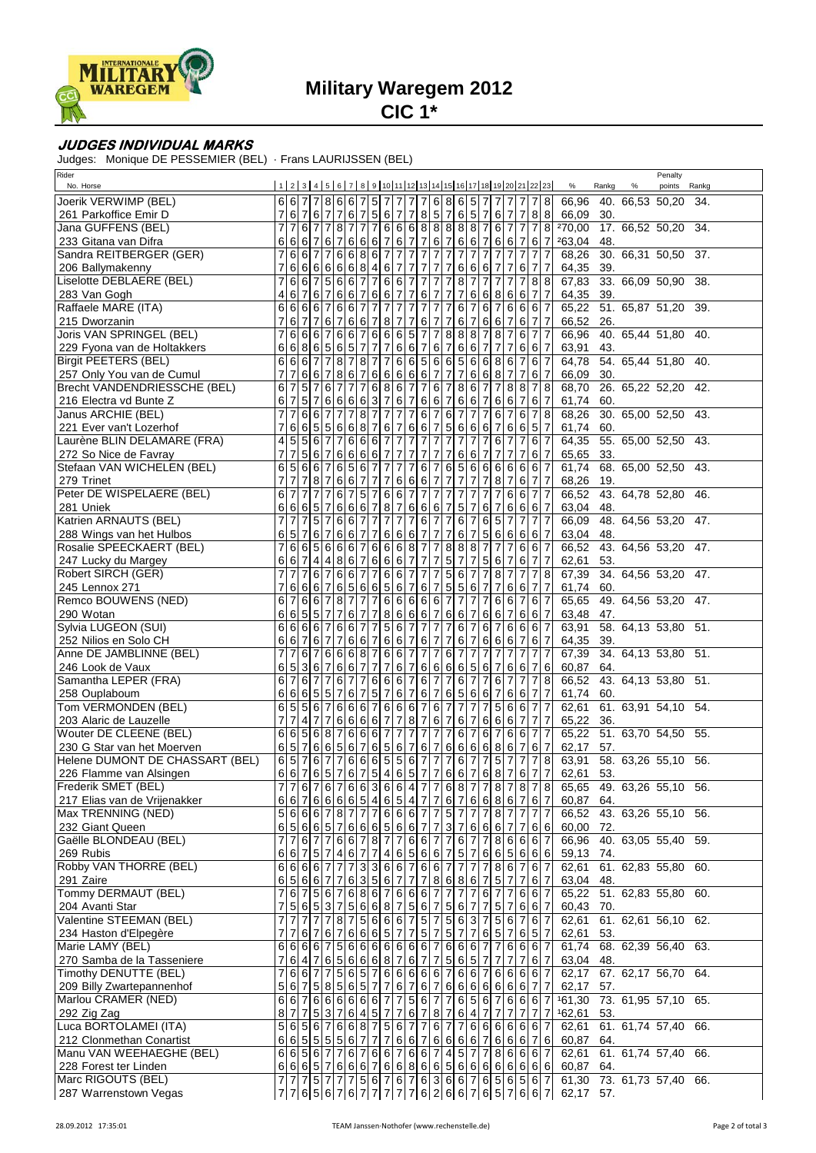

**Military Waregem 2012**

**CIC 1\***

## **JUDGES INDIVIDUAL MARKS**

Judges: Monique DE PESSEMIER (BEL) · Frans LAURIJSSEN (BEL)

| Rider<br>No. Horse                                         |                |                                  |                                |   |                     |                |                  |                               |                                                         |                 |                        |                                                                                |                         |                                   |                     |                  |                                            | 1 2 3 4 5 6 7 8 9 10 11 12 13 14 15 16 17 18 19 20 21 22 23                                                            |                                |                | Penalty<br>%<br>Rankg<br>points Rankg<br>%                                                                                                 |
|------------------------------------------------------------|----------------|----------------------------------|--------------------------------|---|---------------------|----------------|------------------|-------------------------------|---------------------------------------------------------|-----------------|------------------------|--------------------------------------------------------------------------------|-------------------------|-----------------------------------|---------------------|------------------|--------------------------------------------|------------------------------------------------------------------------------------------------------------------------|--------------------------------|----------------|--------------------------------------------------------------------------------------------------------------------------------------------|
| Joerik VERWIMP (BEL)                                       |                |                                  | 6677                           |   |                     | 8 6 6 7        |                  |                               | $5 \mid 7 \mid 7 \mid 7$                                |                 |                        | 768657                                                                         |                         |                                   |                     |                  |                                            | 7 7 7 7 8                                                                                                              |                                |                | 40. 66,53 50,20<br>66,96<br>34.                                                                                                            |
| 261 Parkoffice Emir D                                      |                |                                  | 6 7 6 7 7 6 7                  |   |                     |                |                  |                               |                                                         |                 |                        |                                                                                |                         |                                   |                     |                  |                                            |                                                                                                                        |                                |                | 66,09 30.                                                                                                                                  |
| Jana GUFFENS (BEL)                                         |                |                                  | $\overline{6}$ 7               |   |                     | 8 7            | $\overline{7}$   |                               |                                                         |                 |                        |                                                                                |                         |                                   |                     |                  |                                            | 5   6   7   7   8   5   7   6   5   7   6   7   7   8   8  <br>  7   6   6   8   8   8   8   8   7   6   7   7   7   8 |                                |                | 17. 66,52 50,20 34.<br>270,00                                                                                                              |
| 233 Gitana van Difra                                       | 6              |                                  | 6 6 7                          |   | $6 7$               |                |                  | 6667677                       |                                                         |                 |                        |                                                                                |                         |                                   |                     |                  |                                            | 6 7 6 6 7 6 6 7 6 7                                                                                                    |                                |                | 263,04<br>48.                                                                                                                              |
| Sandra REITBERGER (GER)                                    |                |                                  | 667                            |   | 6                   |                |                  | 6867                          |                                                         | $\overline{7}$  | $\overline{7}$         | $\overline{7}$<br>$\overline{7}$                                               | $\overline{7}$          | $\overline{7}$                    | $\overline{7}$      | $\overline{7}$   | $\overline{7}$<br>$\overline{7}$           | $\overline{7}$                                                                                                         | $\overline{7}$                 |                | 30. 66,31 50,50 37.<br>68,26                                                                                                               |
| 206 Ballymakenny                                           |                |                                  | 666668                         |   |                     |                |                  |                               | 4 6 7                                                   |                 | 7                      | $\overline{7}$<br>7                                                            | $\overline{7}$          | 6                                 | 66                  |                  | 7<br>$\overline{7}$                        | 6                                                                                                                      | 7                              | 7              | 64,35 39.                                                                                                                                  |
| Liselotte DEBLAERE (BEL)                                   |                |                                  | 667                            |   | 5 <sub>5</sub><br>6 |                | 67               | 76                            |                                                         | $6\overline{6}$ | $\overline{7}$         | $\overline{7}$<br>$\overline{7}$                                               | $\overline{7}$          | $\overline{\mathbf{8}}$           | $\overline{7}$      | $\overline{7}$   | $\overline{7}$<br>7                        | $\overline{7}$                                                                                                         | 8 8                            |                | 33. 66,09 50,90 38.<br>67,83                                                                                                               |
| 283 Van Gogh                                               |                |                                  | 6 7 6 7 6 6                    |   |                     |                | $\overline{7}$   |                               | 667                                                     |                 | 7 6                    | $\overline{7}$                                                                 | 7                       | $\overline{7}$                    | 6 6                 |                  | 8                                          | 6 6                                                                                                                    | $717$                          |                | 64,35 39.                                                                                                                                  |
| Raffaele MARE (ITA)                                        | 6              |                                  | 6667                           |   | $6\phantom{1}6$     |                | 6 7              | 77                            |                                                         | $\overline{7}$  | $\overline{7}$         | $\overline{7}$<br>$\overline{7}$                                               | $\overline{7}$          | 6                                 | $\overline{7}$      | $6\overline{6}$  | $\overline{6}$<br>$\overline{7}$           | $667$                                                                                                                  |                                |                | 65,22 51. 65,87 51,20 39.                                                                                                                  |
| 215 Dworzanin                                              |                |                                  | $6 7 7$                        |   | 6 7                 |                | 66               |                               | 787                                                     |                 | 76                     | $\overline{7}$                                                                 | $\overline{7}$          | 6                                 |                     |                  | 7 6 6 7                                    | 6                                                                                                                      | 77                             |                | 66,52 26.                                                                                                                                  |
| Joris VAN SPRINGEL (BEL)                                   |                |                                  | 6 6 6 7                        |   | $6\overline{6}$     |                | 67               | $\overline{6}$ 6              |                                                         | $\sigma$        | $5\overline{7}$        | $\overline{7}$                                                                 | $\overline{\mathbf{8}}$ |                                   |                     | 8 8 7 8          | $\overline{7}$                             | 6                                                                                                                      | $\overline{7}$                 |                | 40. 65,44 51,80 40.<br>66,96                                                                                                               |
| 229 Fyona van de Holtakkers                                | 6              |                                  | 6865657                        |   |                     |                |                  |                               |                                                         |                 |                        | 77667676767777                                                                 |                         |                                   |                     |                  |                                            | $6 6 7$                                                                                                                |                                |                | 63,91 43.                                                                                                                                  |
| <b>Birgit PEETERS (BEL)</b>                                |                |                                  | 6 6 7                          |   |                     | 787            | $\infty$         | 77                            |                                                         |                 |                        | 665665                                                                         |                         |                                   | 66                  |                  | $\infty$<br>$6 \overline{6}$               | $\overline{7}$                                                                                                         | $6 \overline{\smash{\big)}\,}$ |                | 64,78 54. 65,44 51,80 40.                                                                                                                  |
| 257 Only You van de Cumul                                  |                | $\overline{7}$                   | 66786                          |   |                     |                | $\boldsymbol{7}$ |                               |                                                         |                 | 66666<br>68677         | $\overline{7}$                                                                 |                         | 7 <sub>7</sub>                    |                     |                  | $6 6 8 7$                                  | $\overline{7}$                                                                                                         | 6 7                            |                | 66,09<br>30.                                                                                                                               |
| Brecht VANDENDRIESSCHE (BEL)                               | $6 \mid$       |                                  | $5\overline{7}$                |   | $6\overline{7}$     |                | 77               |                               |                                                         |                 |                        |                                                                                |                         |                                   |                     |                  |                                            | 6 7 8 6 7 7 8 8                                                                                                        | 78                             |                | 26. 65,22 52,20 42.<br>68,70                                                                                                               |
| 216 Electra vd Bunte Z                                     |                | $6\overline{7}$                  | $5\overline{7}$                |   | 6 6                 |                | 66               |                               | $3 \mid 7 \mid 6$                                       |                 |                        | 7667667667                                                                     |                         |                                   |                     |                  |                                            |                                                                                                                        | $6 \mid 7$                     |                | 61,74 60.                                                                                                                                  |
| Janus ARCHIE (BEL)                                         |                |                                  | 6 6 7                          |   |                     |                | 8                | 77                            |                                                         | $\overline{7}$  | 7                      | $6\overline{6}$                                                                | 76                      | $\overline{7}$                    | $\overline{7}$      | $\overline{7}$   | $\overline{7}$<br>$6 \overline{}$          | $\sigma$                                                                                                               | 78                             |                | 68,26<br>30. 65,00 52,50 43.                                                                                                               |
| 221 Ever van't Lozerhof                                    |                |                                  | 6 6 5 5 6 6 8                  |   |                     |                |                  |                               | 767                                                     |                 | 66                     | $\overline{7}$                                                                 |                         | 5 6 6 6                           |                     |                  | $\,6$<br>$\overline{7}$                    | 6 5 7                                                                                                                  |                                |                | 61,74 60.                                                                                                                                  |
| Laurène BLIN DELAMARE (FRA)                                |                |                                  | 55677                          |   |                     |                | 66               | $6\overline{7}$               |                                                         | $\overline{7}$  | 7                      | $\overline{7}$<br>$\overline{7}$                                               | $\overline{7}$          | $\overline{7}$                    | $\overline{7}$      | $\overline{7}$   | $\overline{7}$<br>$6 \overline{6}$         | $\overline{7}$                                                                                                         | 6 7                            |                | 64,35 55. 65,00 52,50 43.                                                                                                                  |
| 272 So Nice de Favray                                      | $\overline{7}$ | 17                               |                                |   |                     |                |                  | 567666677                     |                                                         |                 | 77                     | $\overline{7}$                                                                 | $\overline{7}$          | 6                                 | 6 7                 |                  | $\overline{7}$<br>$\overline{7}$           | $\overline{7}$                                                                                                         | $6 \mid 7$                     |                | 65,65 33.                                                                                                                                  |
| Stefaan VAN WICHELEN (BEL)                                 |                |                                  |                                |   |                     |                |                  | 6 5 6 6 7 6 5 6 7 7           |                                                         | $\overline{7}$  | $\overline{7}$         | $6\overline{6}$<br>$\overline{7}$                                              |                         |                                   |                     |                  |                                            | 656666667                                                                                                              |                                |                | 61,74 68. 65,00 52,50 43.                                                                                                                  |
| 279 Trinet<br>Peter DE WISPELAERE (BEL)                    | 7<br>$6 \mid$  | $\overline{7}$<br>$\overline{7}$ | 77                             |   |                     | 787667         |                  | 7 <sub>7</sub>                |                                                         |                 | 666<br>$7\overline{7}$ | $\overline{7}$                                                                 | 7<br>77                 | $\overline{7}$                    | $\overline{7}$      | 7                | $\overline{7}$<br>8<br>6<br>$\overline{7}$ | 6<br>$6\overline{7}$                                                                                                   | $\overline{7}$                 | 17             | 68,26 19.<br>66,52<br>43. 64,78 52,80 46.                                                                                                  |
| 281 Uniek                                                  |                |                                  | 6 6 6 5 7 6                    |   | $\overline{7}$      | $675$          | 6 6              |                               | $\begin{array}{c c} 7 & 6 & 6 \\ 7 & 8 & 7 \end{array}$ |                 | 66                     | $6\phantom{.}6$                                                                | $\overline{7}$          | $\overline{7}$<br>$5\phantom{.0}$ | 7<br>7              | 7<br>6           | $6 \overline{6}$<br>7                      | 6                                                                                                                      | 6 7                            |                | 63,04 48.                                                                                                                                  |
| Katrien ARNAUTS (BEL)                                      |                |                                  | 7 5                            |   | $6\overline{6}$     |                | 67               | 77                            |                                                         | 7               | $\overline{7}$         | $6\overline{6}$                                                                | $\overline{7}$ 7        | $\overline{6}$                    | 7                   | $\sigma$         | $5\overline{)}$<br>$\overline{7}$          | $\overline{7}$                                                                                                         | $\overline{7}$                 |                | 48. 64,56 53,20 47.<br>66,09                                                                                                               |
| 288 Wings van het Hulbos                                   |                |                                  | 6 5 7 6 7 6 6                  |   |                     |                | $\overline{7}$   |                               |                                                         |                 | 76667                  | $\overline{7}$                                                                 | $\overline{7}$          | $\,$ 6                            | $\overline{7}$      | $5\overline{)}$  |                                            | 6 6 6 6 7                                                                                                              |                                |                | 63,04 48.                                                                                                                                  |
| Rosalie SPEECKAERT (BEL)                                   |                |                                  | 665666                         |   |                     |                | $\overline{7}$   |                               | $666$                                                   |                 | 87                     | $\overline{7}$                                                                 |                         | 888                               |                     | 7                | $\overline{7}$<br>7                        | 6                                                                                                                      | $6\overline{7}$                |                | 43. 64,56 53,20 47.<br>66,52                                                                                                               |
| 247 Lucky du Margey                                        |                |                                  | 6 6 7 4 4 8 6 7                |   |                     |                |                  |                               |                                                         |                 | 66677                  | $\overline{7}$                                                                 | $\overline{5}$          | $\overline{7}$                    | $\overline{7}$      | $\overline{5}$   | 7<br>$6 \overline{6}$                      | $6\phantom{.}6$                                                                                                        | 77                             |                | 62,61 53.                                                                                                                                  |
| Robert SIRCH (GER)                                         |                |                                  | 767                            |   | 6                   | 6              | $\overline{7}$   |                               | 766                                                     |                 | $\overline{7}$         | $\overline{7}$<br>$\overline{7}$                                               | თ                       | 6                                 | 7                   |                  | 8<br>7                                     | 7                                                                                                                      | $\overline{7}$                 | $\overline{8}$ | 34. 64,56 53,20 47.<br>67,39                                                                                                               |
| 245 Lennox 271                                             |                |                                  | 6667656                        |   |                     |                |                  |                               | 6 5 6                                                   |                 | $\overline{7}$         | $6\phantom{.}6$<br>$\overline{7}$                                              |                         | $5\overline{5}$                   | 6 7                 |                  | 7<br>6                                     | 6                                                                                                                      | $\overline{7}$                 | 7              | 61,74<br>60.                                                                                                                               |
| Remco BOUWENS (NED)                                        | 6              |                                  | 766787                         |   |                     |                | $\overline{7}$   |                               |                                                         |                 |                        | 66677                                                                          |                         |                                   | $\overline{7}$      | $\overline{7}$   | $6 \,$                                     | $\begin{array}{c} 6 \overline{7} \end{array}$                                                                          | $6\overline{7}$                |                | 49. 64,56 53,20 47.<br>65,65                                                                                                               |
| 290 Wotan                                                  |                |                                  | 6 6 5 5 7 7                    |   |                     |                | 6 7              |                               |                                                         |                 | 78666                  | $\overline{7}$                                                                 |                         | 66                                | 76                  |                  | 6 7                                        | 6                                                                                                                      | 6 7                            |                | 63,48 47.                                                                                                                                  |
| Sylvia LUGEON (SUI)                                        |                |                                  | 6667                           |   | $\overline{6}$      |                | $6\overline{7}$  |                               | 756                                                     |                 | $\overline{7}$         | $\overline{7}$<br>$\overline{7}$                                               | $\overline{7}$          | $\bullet$                         | 7                   | 6                | 6<br>$\overline{7}$                        | 6                                                                                                                      | $6 \mid 7$                     |                | 58. 64,13 53,80 51.<br>63,91                                                                                                               |
| 252 Nilios en Solo CH                                      |                |                                  | 6 6 7 6 7                      |   | 7                   | 6              | $\,$ 6 $\,$      |                               | 766                                                     |                 | 76                     | $\overline{7}$                                                                 | 7                       | ${\bf 6}$                         | $\overline{7}$      | 6                | $\,$ 6<br>$6 \,$                           | $\overline{7}$                                                                                                         | 6 7                            |                | 64,35<br>39.                                                                                                                               |
| Anne DE JAMBLINNE (BEL)                                    |                |                                  | $6\overline{7}$                |   |                     | 6668           |                  |                               |                                                         |                 | $\overline{7}$         | 7<br>$\overline{7}$                                                            | $\overline{6}$          | $\overline{7}$                    | $\overline{7}$      |                  | 7                                          | 7                                                                                                                      | $\overline{7}$                 |                | 34. 64,13 53,80 51.<br>67,39                                                                                                               |
| 246 Look de Vaux                                           |                |                                  | 6 5 3 6 7 6                    |   |                     |                | 6 7              | 7 <sub>7</sub>                |                                                         | $6\phantom{.}6$ | 76                     | $6\phantom{.}6$                                                                | $6\phantom{.}6$         | ${\bf 6}$                         | 5 6                 |                  | 6<br>7                                     | 6                                                                                                                      | $\overline{7}$                 | 6              | 60,87 64.                                                                                                                                  |
| Samantha LEPER (FRA)                                       |                |                                  | 6 7 6 7                        |   | 6                   | $\overline{7}$ | 7                |                               | $666$                                                   |                 | $\overline{7}$         | $6\overline{6}$<br>$\overline{7}$                                              | $\overline{7}$          | $6\overline{6}$                   | 7                   | 7                | 6<br>$\overline{7}$                        | $\overline{7}$                                                                                                         | 78                             |                | 66,52 43. 64,13 53,80 51.                                                                                                                  |
| 258 Ouplaboum                                              |                |                                  | 6 6 6 5 5 7                    |   |                     | 6              | $\overline{7}$   | $5 \overline{\smash{\big)} }$ |                                                         | $\,$ 6          | $\overline{7}$         | 6<br>$\overline{7}$                                                            |                         | 6 5 6 6                           |                     |                  | $\overline{7}$                             | 6 6                                                                                                                    | $\overline{7}$                 | $\overline{7}$ | 61,74 60.                                                                                                                                  |
| Tom VERMONDEN (BEL)                                        |                |                                  | 6 5 5 6 7                      |   | 6                   |                | 6 6              | 76                            |                                                         |                 | 667                    |                                                                                |                         | $677$                             | 7 7                 |                  | $5\overline{)}$                            | 667                                                                                                                    |                                | 17             | 61. 63,91 54,10 54.<br>62,61                                                                                                               |
| 203 Alaric de Lauzelle                                     |                | $\overline{7}$                   | $\overline{4}$                 | 7 |                     | 666            |                  | 6 7                           |                                                         | $\overline{7}$  | 87                     | $6 \,$                                                                         | $\overline{7}$          | 6                                 | 7                   | 6                |                                            | 6 6 7                                                                                                                  | $7\overline{7}$                |                | 65,22 36.                                                                                                                                  |
| Wouter DE CLEENE (BEL)                                     |                |                                  | 6 6 5 6 8 7                    |   |                     |                |                  | 6667                          |                                                         | $\overline{7}$  | $\overline{7}$         | $\overline{7}$                                                                 | 77                      | $\overline{6}$                    |                     | 767              |                                            | 66                                                                                                                     | $7\overline{7}$                |                | 65,22 51. 63,70 54,50 55.                                                                                                                  |
| 230 G Star van het Moerven                                 |                |                                  | 6 5 7 6 6 5 6 7<br>6 5 7 6 7 7 |   |                     |                |                  |                               |                                                         |                 | 65676                  | $\overline{7}$                                                                 |                         |                                   |                     |                  |                                            | 6666867<br>66655677767757778                                                                                           | $6 \mid 7$                     |                | 62,17 57.<br>58. 63,26 55,10 56.                                                                                                           |
| Helene DUMONT DE CHASSART (BEL)<br>226 Flamme van Alsingen |                |                                  |                                |   |                     |                |                  |                               |                                                         |                 |                        |                                                                                |                         |                                   |                     |                  |                                            |                                                                                                                        |                                |                | 63,91                                                                                                                                      |
| Frederik SMET (BEL)                                        |                |                                  |                                |   |                     |                |                  |                               |                                                         |                 |                        |                                                                                |                         |                                   |                     |                  |                                            |                                                                                                                        |                                |                | 6 6 7 6 5 7 6 7 5 4 6 5 7 7 6 6 7 6 8 7 6 7 7  62,61  53.<br> 7 7 6 7 6 7 6 6 3 6 6 4 7 7 6 8 7 7 8 7 8 7 8  65,65  49. 63,26  55,10   56. |
| 217 Elias van de Vrijenakker                               |                |                                  | 66766665                       |   |                     |                |                  |                               |                                                         |                 | 4 6 5 4 7              |                                                                                |                         |                                   |                     |                  |                                            | 7676686767                                                                                                             |                                |                | 60,87 64.                                                                                                                                  |
| Max TRENNING (NED)                                         |                |                                  | 5 6 6 6 7 8 7 7                |   |                     |                |                  |                               |                                                         |                 | 76667                  |                                                                                |                         | 757                               |                     |                  |                                            | 7 7 8 7 7 7                                                                                                            |                                |                | 66,52 43. 63,26 55,10 56.                                                                                                                  |
| 232 Giant Queen                                            |                |                                  |                                |   |                     |                |                  | 6566576665667                 |                                                         |                 |                        |                                                                                |                         |                                   |                     |                  | 7 3 7 6 6 6 7                              |                                                                                                                        |                                |                | 60,00 72.                                                                                                                                  |
| Gaëlle BLONDEAU (BEL)                                      |                |                                  | $\overline{6}$ 7               |   |                     | 7667           |                  | $\overline{8}$ 7              |                                                         | $\overline{7}$  | $66$                   |                                                                                | $7\overline{7}$         | $6\overline{6}$                   | 7 7                 |                  |                                            | 8 6 6 6 7                                                                                                              |                                |                | 40. 63,05 55,40 59.<br>66,96                                                                                                               |
| 269 Rubis                                                  |                |                                  | 6 6 7 5 7 4 6 7                |   |                     |                |                  | 71                            | 4                                                       |                 |                        | 656675                                                                         |                         |                                   | 7                   | $6 \overline{6}$ |                                            | 6 5 6 6                                                                                                                |                                |                | 59,13 74.                                                                                                                                  |
| Robby VAN THORRE (BEL)                                     |                |                                  | 66667                          |   |                     | $\overline{7}$ | $\overline{3}$   | 36                            |                                                         | $\overline{6}$  | $\overline{7}$         | $667$                                                                          |                         | $\overline{7}$                    |                     |                  | 6<br>8 <sup>1</sup>                        | $\overline{7}$                                                                                                         | 6 7                            |                | 61. 62,83 55,80<br>62,61<br>60.                                                                                                            |
| 291 Zaire                                                  |                |                                  |                                |   |                     |                |                  | 6 5 6 6 7 7 6 3 5 6 7         |                                                         |                 | 7 7                    |                                                                                |                         | 86867                             |                     |                  | 5 7                                        | 767                                                                                                                    |                                |                | 63,04<br>48.                                                                                                                               |
| Tommy DERMAUT (BEL)                                        |                |                                  | 67567                          |   |                     |                | 68               | 6                             | $\overline{7}$                                          | $6\phantom{.}6$ | 6                      | $\,6$<br>$\overline{7}$                                                        |                         |                                   |                     | 6                |                                            | 6                                                                                                                      | 6                              |                | 51. 62,83 55,80<br>65,22<br>60.                                                                                                            |
| 204 Avanti Star                                            | 7              |                                  | 5653756                        |   |                     |                |                  |                               | $687$                                                   |                 |                        | 5 6 7                                                                          |                         | 5 6                               | 7                   | 7                | $5\phantom{.0}$<br>7                       | 667                                                                                                                    |                                |                | 60,43 70.                                                                                                                                  |
| Valentine STEEMAN (BEL)                                    |                |                                  | 777                            |   |                     |                |                  | 7 8 7 5 6 6 6                 |                                                         |                 | 7 5                    |                                                                                |                         | 75637                             |                     |                  |                                            | 5 6 7                                                                                                                  | $6 \mid 7$                     |                | 61. 62,61 56,10 62.<br>62,61                                                                                                               |
| 234 Haston d'Elpegère                                      |                | 7                                | 61 <sub>7</sub>                |   |                     |                |                  |                               |                                                         |                 |                        | 6 7 6 6 6 5 7 75 757                                                           |                         |                                   | 76                  |                  |                                            | 5 7 6 5 7                                                                                                              |                                |                | 62,61<br>53.                                                                                                                               |
| Marie LAMY (BEL)                                           |                |                                  | 6 6 6 7                        |   | $\overline{5}$      |                | 66               |                               |                                                         |                 | 6 6 6 6                | $\overline{7}$                                                                 | $\sigma$                |                                   | 667                 |                  | 6<br>$\overline{7}$                        | 667                                                                                                                    |                                |                | 68. 62,39 56,40 63.<br>61,74                                                                                                               |
| 270 Samba de la Tasseniere                                 |                |                                  |                                |   |                     |                |                  |                               |                                                         |                 |                        | 6 4 7 6 5 6 6 6 8 7 6 7 7                                                      |                         | 5 6 5 7                           |                     |                  | $\overline{7}$<br>7                        | 767                                                                                                                    |                                |                | 63,04<br>48.                                                                                                                               |
| Timothy DENUTTE (BEL)                                      |                |                                  | $667$                          |   |                     |                |                  |                               |                                                         |                 |                        | 75657666667                                                                    |                         |                                   | 667                 |                  |                                            | 66667                                                                                                                  |                                |                | 67. 62,17 56,70 64.<br>62,17                                                                                                               |
| 209 Billy Zwartepannenhof                                  | 5              |                                  |                                |   |                     |                |                  | 6 7 5 8 5 6 5 7 7             |                                                         |                 |                        |                                                                                |                         |                                   |                     |                  |                                            |                                                                                                                        |                                |                | 62,17 57.                                                                                                                                  |
| Marlou CRAMER (NED)                                        |                |                                  | 667666                         |   |                     |                | 66               | $6\overline{7}$               |                                                         | $\overline{7}$  | 56                     | $\overline{7}$                                                                 | $\overline{7}$          |                                   | $6 \vert 5 \vert 6$ |                  | $\overline{7}$<br>$6 \overline{6}$         | $6\overline{6}$                                                                                                        |                                |                | 161,30 73. 61,95 57,10 65.                                                                                                                 |
| 292 Zig Zag<br>Luca BORTOLAMEI (ITA)                       |                |                                  | 8 7 7 5 3 7 6 4                |   |                     |                |                  | 5656766875677                 |                                                         |                 |                        | $5$ 7 7 6 7 8 7 6 4 7 7                                                        | $6\overline{7}$         | $\overline{7}$                    | 66                  |                  |                                            | 7777<br>66667                                                                                                          |                                |                | 162,61 53.<br>61. 61,74 57,40 66.                                                                                                          |
| 212 Clonmethan Conartist                                   |                |                                  | 66555567                       |   |                     |                |                  |                               |                                                         |                 |                        |                                                                                |                         |                                   |                     |                  |                                            |                                                                                                                        |                                |                | 62,61<br>60,87<br>64.                                                                                                                      |
| Manu VAN WEEHAEGHE (BEL)                                   |                |                                  | 665677                         |   |                     |                | $6\overline{7}$  |                               |                                                         |                 |                        | 7   7   6   6   7   6   6   6   7  <br>  6   6   7   6   6   7   4   5   7   7 |                         |                                   |                     |                  |                                            | 6766676<br>7786667                                                                                                     |                                |                | 61. 61,74 57,40 66.<br>62,61                                                                                                               |
| 228 Forest ter Linden                                      |                |                                  |                                |   |                     |                |                  |                               |                                                         |                 |                        |                                                                                |                         |                                   |                     |                  |                                            |                                                                                                                        |                                |                | 60,87 64.                                                                                                                                  |
| Marc RIGOUTS (BEL)                                         |                |                                  |                                |   |                     |                |                  |                               |                                                         |                 |                        |                                                                                |                         |                                   |                     |                  |                                            |                                                                                                                        |                                |                | 61,30 73. 61,73 57,40 66.                                                                                                                  |
| 287 Warrenstown Vegas                                      |                |                                  | 7 7 6 5 6 7 6 7                |   |                     |                |                  |                               |                                                         |                 |                        |                                                                                |                         |                                   |                     |                  |                                            | 777776266767657667                                                                                                     |                                |                | 62,17 57.                                                                                                                                  |
|                                                            |                |                                  |                                |   |                     |                |                  |                               |                                                         |                 |                        |                                                                                |                         |                                   |                     |                  |                                            |                                                                                                                        |                                |                |                                                                                                                                            |